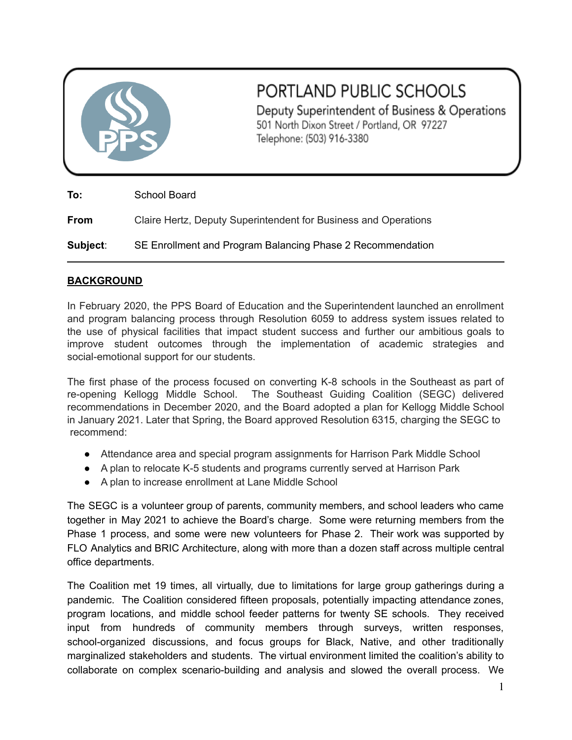

# PORTLAND PUBLIC SCHOOLS

Deputy Superintendent of Business & Operations 501 North Dixon Street / Portland, OR 97227 Telephone: (503) 916-3380

**To:** School Board

**From** Claire Hertz, Deputy Superintendent for Business and Operations

**Subject**: SE Enrollment and Program Balancing Phase 2 Recommendation

# **BACKGROUND**

In February 2020, the PPS Board of Education and the Superintendent launched an enrollment and program balancing process through Resolution 6059 to address system issues related to the use of physical facilities that impact student success and further our ambitious goals to improve student outcomes through the implementation of academic strategies and social-emotional support for our students.

The first phase of the process focused on converting K-8 schools in the Southeast as part of re-opening Kellogg Middle School. The Southeast Guiding Coalition (SEGC) delivered recommendations in December 2020, and the Board adopted a plan for Kellogg Middle School in January 2021. Later that Spring, the Board approved Resolution 6315, charging the SEGC to recommend:

- Attendance area and special program assignments for Harrison Park Middle School
- A plan to relocate K-5 students and programs currently served at Harrison Park
- A plan to increase enrollment at Lane Middle School

The SEGC is a volunteer group of parents, community members, and school leaders who came together in May 2021 to achieve the Board's charge. Some were returning members from the Phase 1 process, and some were new volunteers for Phase 2. Their work was supported by FLO Analytics and BRIC Architecture, along with more than a dozen staff across multiple central office departments.

The Coalition met 19 times, all virtually, due to limitations for large group gatherings during a pandemic. The Coalition considered fifteen proposals, potentially impacting attendance zones, program locations, and middle school feeder patterns for twenty SE schools. They received input from hundreds of community members through surveys, written responses, school-organized discussions, and focus groups for Black, Native, and other traditionally marginalized stakeholders and students. The virtual environment limited the coalition's ability to collaborate on complex scenario-building and analysis and slowed the overall process. We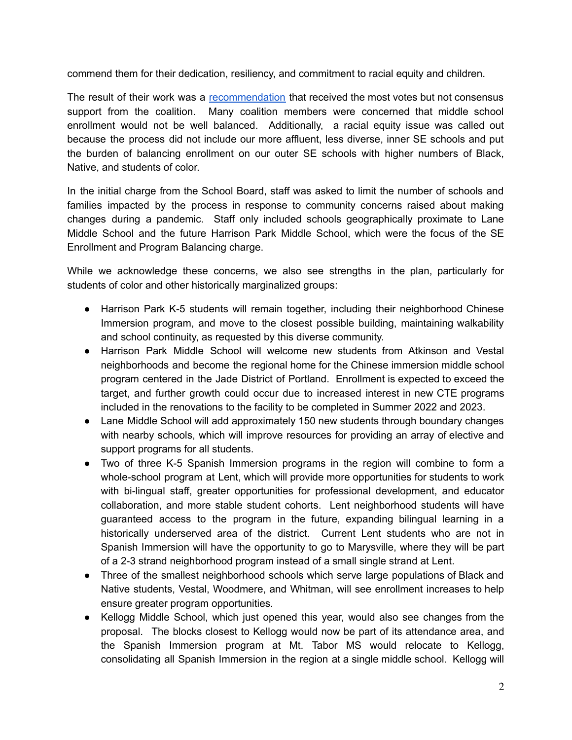commend them for their dedication, resiliency, and commitment to racial equity and children.

The result of their work was a [recommendation](https://drive.google.com/file/d/1Q3149xpjD8-iIDXYrqZQljVCSKj9-1_V/view) that received the most votes but not consensus support from the coalition. Many coalition members were concerned that middle school enrollment would not be well balanced. Additionally, a racial equity issue was called out because the process did not include our more affluent, less diverse, inner SE schools and put the burden of balancing enrollment on our outer SE schools with higher numbers of Black, Native, and students of color.

In the initial charge from the School Board, staff was asked to limit the number of schools and families impacted by the process in response to community concerns raised about making changes during a pandemic. Staff only included schools geographically proximate to Lane Middle School and the future Harrison Park Middle School, which were the focus of the SE Enrollment and Program Balancing charge.

While we acknowledge these concerns, we also see strengths in the plan, particularly for students of color and other historically marginalized groups:

- Harrison Park K-5 students will remain together, including their neighborhood Chinese Immersion program, and move to the closest possible building, maintaining walkability and school continuity, as requested by this diverse community.
- Harrison Park Middle School will welcome new students from Atkinson and Vestal neighborhoods and become the regional home for the Chinese immersion middle school program centered in the Jade District of Portland. Enrollment is expected to exceed the target, and further growth could occur due to increased interest in new CTE programs included in the renovations to the facility to be completed in Summer 2022 and 2023.
- Lane Middle School will add approximately 150 new students through boundary changes with nearby schools, which will improve resources for providing an array of elective and support programs for all students.
- Two of three K-5 Spanish Immersion programs in the region will combine to form a whole-school program at Lent, which will provide more opportunities for students to work with bi-lingual staff, greater opportunities for professional development, and educator collaboration, and more stable student cohorts. Lent neighborhood students will have guaranteed access to the program in the future, expanding bilingual learning in a historically underserved area of the district. Current Lent students who are not in Spanish Immersion will have the opportunity to go to Marysville, where they will be part of a 2-3 strand neighborhood program instead of a small single strand at Lent.
- Three of the smallest neighborhood schools which serve large populations of Black and Native students, Vestal, Woodmere, and Whitman, will see enrollment increases to help ensure greater program opportunities.
- Kellogg Middle School, which just opened this year, would also see changes from the proposal. The blocks closest to Kellogg would now be part of its attendance area, and the Spanish Immersion program at Mt. Tabor MS would relocate to Kellogg, consolidating all Spanish Immersion in the region at a single middle school. Kellogg will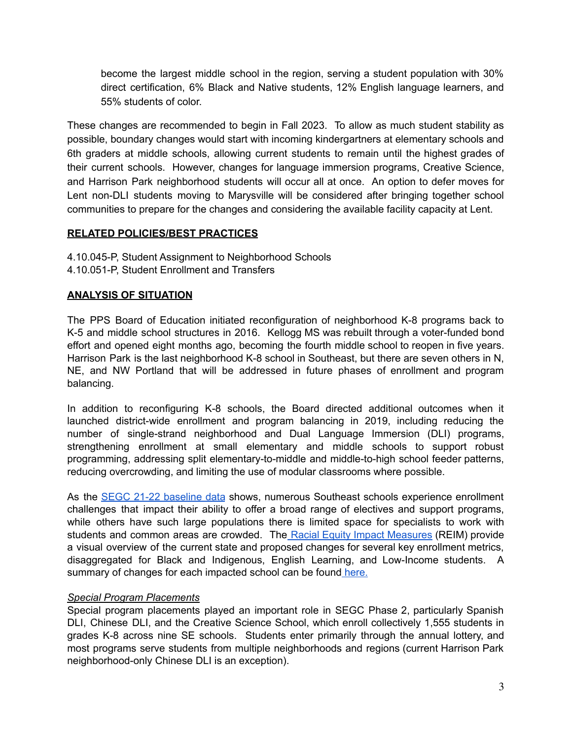become the largest middle school in the region, serving a student population with 30% direct certification, 6% Black and Native students, 12% English language learners, and 55% students of color.

These changes are recommended to begin in Fall 2023. To allow as much student stability as possible, boundary changes would start with incoming kindergartners at elementary schools and 6th graders at middle schools, allowing current students to remain until the highest grades of their current schools. However, changes for language immersion programs, Creative Science, and Harrison Park neighborhood students will occur all at once. An option to defer moves for Lent non-DLI students moving to Marysville will be considered after bringing together school communities to prepare for the changes and considering the available facility capacity at Lent.

# **RELATED POLICIES/BEST PRACTICES**

4.10.045-P, Student Assignment to Neighborhood Schools 4.10.051-P, Student Enrollment and Transfers

#### **ANALYSIS OF SITUATION**

The PPS Board of Education initiated reconfiguration of neighborhood K-8 programs back to K-5 and middle school structures in 2016. Kellogg MS was rebuilt through a voter-funded bond effort and opened eight months ago, becoming the fourth middle school to reopen in five years. Harrison Park is the last neighborhood K-8 school in Southeast, but there are seven others in N, NE, and NW Portland that will be addressed in future phases of enrollment and program balancing.

In addition to reconfiguring K-8 schools, the Board directed additional outcomes when it launched district-wide enrollment and program balancing in 2019, including reducing the number of single-strand neighborhood and Dual Language Immersion (DLI) programs, strengthening enrollment at small elementary and middle schools to support robust programming, addressing split elementary-to-middle and middle-to-high school feeder patterns, reducing overcrowding, and limiting the use of modular classrooms where possible.

As the SEGC 21-22 [baseline](https://docs.google.com/spreadsheets/d/1Zc0TVBx5NnLEezWbH9jof7LOIBJADzDt/edit?usp=sharing&ouid=115246596219243476626&rtpof=true&sd=true) data shows, numerous Southeast schools experience enrollment challenges that impact their ability to offer a broad range of electives and support programs, while others have such large populations there is limited space for specialists to work with students and common areas are crowded. The Racial Equity Impact [Measures](https://drive.google.com/file/d/1vRr-Bj-KuILx7mFSqJHnCQ3rxO76Nkwu/view?usp=sharing) (REIM) provide a visual overview of the current state and proposed changes for several key enrollment metrics, disaggregated for Black and Indigenous, English Learning, and Low-Income students. A summary of changes for each impacted school can be found [here.](https://drive.google.com/file/d/1t-KMrb7pfD0ZMFk_0U9c2l8dh7-EqG06/view?usp=sharing)

# *Special Program Placements*

Special program placements played an important role in SEGC Phase 2, particularly Spanish DLI, Chinese DLI, and the Creative Science School, which enroll collectively 1,555 students in grades K-8 across nine SE schools. Students enter primarily through the annual lottery, and most programs serve students from multiple neighborhoods and regions (current Harrison Park neighborhood-only Chinese DLI is an exception).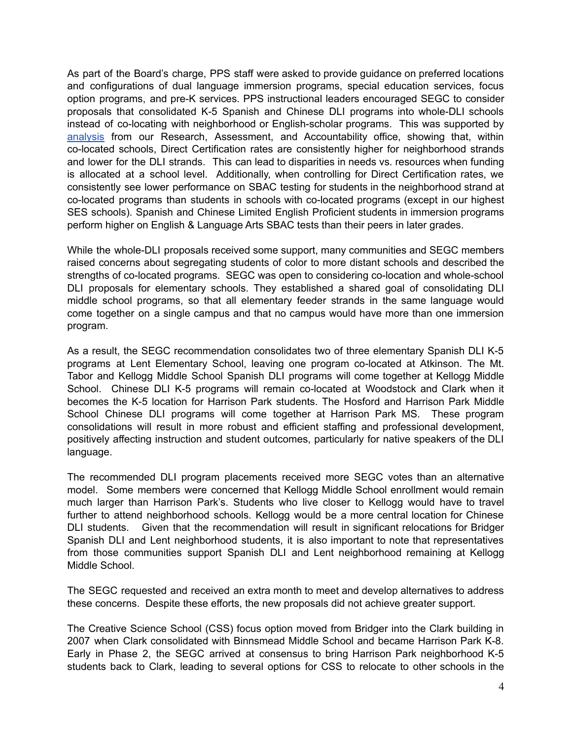As part of the Board's charge, PPS staff were asked to provide guidance on preferred locations and configurations of dual language immersion programs, special education services, focus option programs, and pre-K services. PPS instructional leaders encouraged SEGC to consider proposals that consolidated K-5 Spanish and Chinese DLI programs into whole-DLI schools instead of co-locating with neighborhood or English-scholar programs. This was supported by [analysis](https://docs.google.com/presentation/d/1bezrHk7UkPsXlsV-r-ezcQCdUV62sRvI/edit?usp=sharing&ouid=115246596219243476626&rtpof=true&sd=true) from our Research, Assessment, and Accountability office, showing that, within co-located schools, Direct Certification rates are consistently higher for neighborhood strands and lower for the DLI strands. This can lead to disparities in needs vs. resources when funding is allocated at a school level. Additionally, when controlling for Direct Certification rates, we consistently see lower performance on SBAC testing for students in the neighborhood strand at co-located programs than students in schools with co-located programs (except in our highest SES schools). Spanish and Chinese Limited English Proficient students in immersion programs perform higher on English & Language Arts SBAC tests than their peers in later grades.

While the whole-DLI proposals received some support, many communities and SEGC members raised concerns about segregating students of color to more distant schools and described the strengths of co-located programs. SEGC was open to considering co-location and whole-school DLI proposals for elementary schools. They established a shared goal of consolidating DLI middle school programs, so that all elementary feeder strands in the same language would come together on a single campus and that no campus would have more than one immersion program.

As a result, the SEGC recommendation consolidates two of three elementary Spanish DLI K-5 programs at Lent Elementary School, leaving one program co-located at Atkinson. The Mt. Tabor and Kellogg Middle School Spanish DLI programs will come together at Kellogg Middle School. Chinese DLI K-5 programs will remain co-located at Woodstock and Clark when it becomes the K-5 location for Harrison Park students. The Hosford and Harrison Park Middle School Chinese DLI programs will come together at Harrison Park MS. These program consolidations will result in more robust and efficient staffing and professional development, positively affecting instruction and student outcomes, particularly for native speakers of the DLI language.

The recommended DLI program placements received more SEGC votes than an alternative model. Some members were concerned that Kellogg Middle School enrollment would remain much larger than Harrison Park's. Students who live closer to Kellogg would have to travel further to attend neighborhood schools. Kellogg would be a more central location for Chinese DLI students. Given that the recommendation will result in significant relocations for Bridger Spanish DLI and Lent neighborhood students, it is also important to note that representatives from those communities support Spanish DLI and Lent neighborhood remaining at Kellogg Middle School.

The SEGC requested and received an extra month to meet and develop alternatives to address these concerns. Despite these efforts, the new proposals did not achieve greater support.

The Creative Science School (CSS) focus option moved from Bridger into the Clark building in 2007 when Clark consolidated with Binnsmead Middle School and became Harrison Park K-8. Early in Phase 2, the SEGC arrived at consensus to bring Harrison Park neighborhood K-5 students back to Clark, leading to several options for CSS to relocate to other schools in the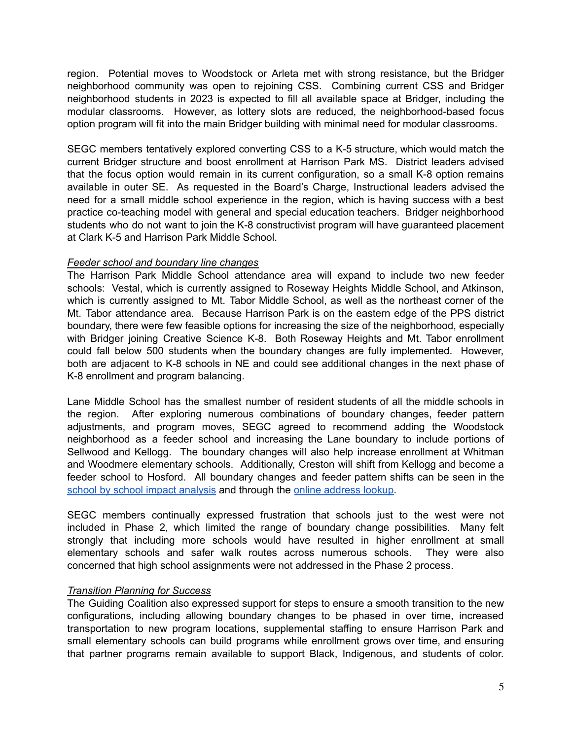region. Potential moves to Woodstock or Arleta met with strong resistance, but the Bridger neighborhood community was open to rejoining CSS. Combining current CSS and Bridger neighborhood students in 2023 is expected to fill all available space at Bridger, including the modular classrooms. However, as lottery slots are reduced, the neighborhood-based focus option program will fit into the main Bridger building with minimal need for modular classrooms.

SEGC members tentatively explored converting CSS to a K-5 structure, which would match the current Bridger structure and boost enrollment at Harrison Park MS. District leaders advised that the focus option would remain in its current configuration, so a small K-8 option remains available in outer SE. As requested in the Board's Charge, Instructional leaders advised the need for a small middle school experience in the region, which is having success with a best practice co-teaching model with general and special education teachers. Bridger neighborhood students who do not want to join the K-8 constructivist program will have guaranteed placement at Clark K-5 and Harrison Park Middle School.

#### *Feeder school and boundary line changes*

The Harrison Park Middle School attendance area will expand to include two new feeder schools: Vestal, which is currently assigned to Roseway Heights Middle School, and Atkinson, which is currently assigned to Mt. Tabor Middle School, as well as the northeast corner of the Mt. Tabor attendance area. Because Harrison Park is on the eastern edge of the PPS district boundary, there were few feasible options for increasing the size of the neighborhood, especially with Bridger joining Creative Science K-8. Both Roseway Heights and Mt. Tabor enrollment could fall below 500 students when the boundary changes are fully implemented. However, both are adjacent to K-8 schools in NE and could see additional changes in the next phase of K-8 enrollment and program balancing.

Lane Middle School has the smallest number of resident students of all the middle schools in the region. After exploring numerous combinations of boundary changes, feeder pattern adjustments, and program moves, SEGC agreed to recommend adding the Woodstock neighborhood as a feeder school and increasing the Lane boundary to include portions of Sellwood and Kellogg. The boundary changes will also help increase enrollment at Whitman and Woodmere elementary schools. Additionally, Creston will shift from Kellogg and become a feeder school to Hosford. All boundary changes and feeder pattern shifts can be seen in the school by school impact [analysis](https://drive.google.com/file/d/1t-KMrb7pfD0ZMFk_0U9c2l8dh7-EqG06/view?usp=sharing) and through the online [address](https://arcg.is/0mibmO) lookup.

SEGC members continually expressed frustration that schools just to the west were not included in Phase 2, which limited the range of boundary change possibilities. Many felt strongly that including more schools would have resulted in higher enrollment at small elementary schools and safer walk routes across numerous schools. They were also concerned that high school assignments were not addressed in the Phase 2 process.

#### *Transition Planning for Success*

The Guiding Coalition also expressed support for steps to ensure a smooth transition to the new configurations, including allowing boundary changes to be phased in over time, increased transportation to new program locations, supplemental staffing to ensure Harrison Park and small elementary schools can build programs while enrollment grows over time, and ensuring that partner programs remain available to support Black, Indigenous, and students of color.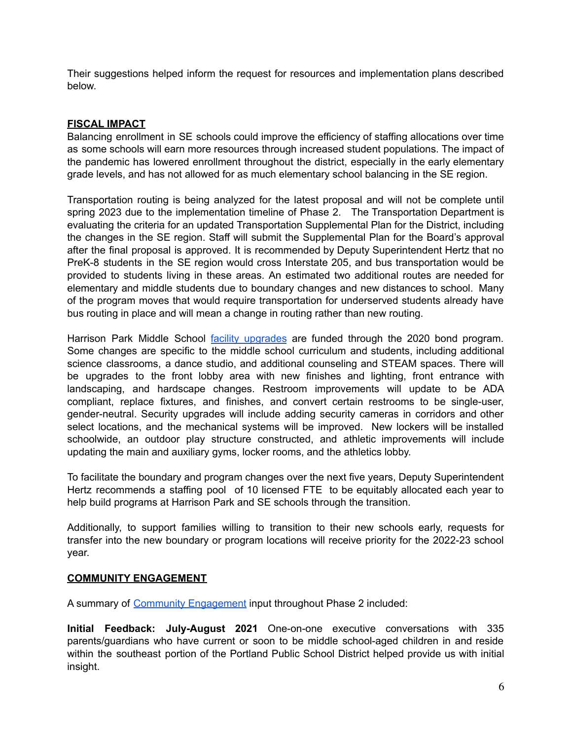Their suggestions helped inform the request for resources and implementation plans described below.

# **FISCAL IMPACT**

Balancing enrollment in SE schools could improve the efficiency of staffing allocations over time as some schools will earn more resources through increased student populations. The impact of the pandemic has lowered enrollment throughout the district, especially in the early elementary grade levels, and has not allowed for as much elementary school balancing in the SE region.

Transportation routing is being analyzed for the latest proposal and will not be complete until spring 2023 due to the implementation timeline of Phase 2. The Transportation Department is evaluating the criteria for an updated Transportation Supplemental Plan for the District, including the changes in the SE region. Staff will submit the Supplemental Plan for the Board's approval after the final proposal is approved. It is recommended by Deputy Superintendent Hertz that no PreK-8 students in the SE region would cross Interstate 205, and bus transportation would be provided to students living in these areas. An estimated two additional routes are needed for elementary and middle students due to boundary changes and new distances to school. Many of the program moves that would require transportation for underserved students already have bus routing in place and will mean a change in routing rather than new routing.

Harrison Park Middle School facility [upgrades](https://www.pps.net/cms/lib/OR01913224/Centricity/Domain/265/HarrisonPark-Facility-preparation-English.pdf) are funded through the 2020 bond program. Some changes are specific to the middle school curriculum and students, including additional science classrooms, a dance studio, and additional counseling and STEAM spaces. There will be upgrades to the front lobby area with new finishes and lighting, front entrance with landscaping, and hardscape changes. Restroom improvements will update to be ADA compliant, replace fixtures, and finishes, and convert certain restrooms to be single-user, gender-neutral. Security upgrades will include adding security cameras in corridors and other select locations, and the mechanical systems will be improved. New lockers will be installed schoolwide, an outdoor play structure constructed, and athletic improvements will include updating the main and auxiliary gyms, locker rooms, and the athletics lobby.

To facilitate the boundary and program changes over the next five years, Deputy Superintendent Hertz recommends a staffing pool of 10 licensed FTE to be equitably allocated each year to help build programs at Harrison Park and SE schools through the transition.

Additionally, to support families willing to transition to their new schools early, requests for transfer into the new boundary or program locations will receive priority for the 2022-23 school year.

# **COMMUNITY ENGAGEMENT**

A summary of Community [Engagement](https://docs.google.com/document/d/1MqCegXAEeHgLeujjTd6NVXBlHbFZOc4aB8w3CzqWHT8/edit) input throughout Phase 2 included:

**Initial Feedback: July-August 2021** One-on-one executive conversations with 335 parents/guardians who have current or soon to be middle school-aged children in and reside within the southeast portion of the Portland Public School District helped provide us with initial insight.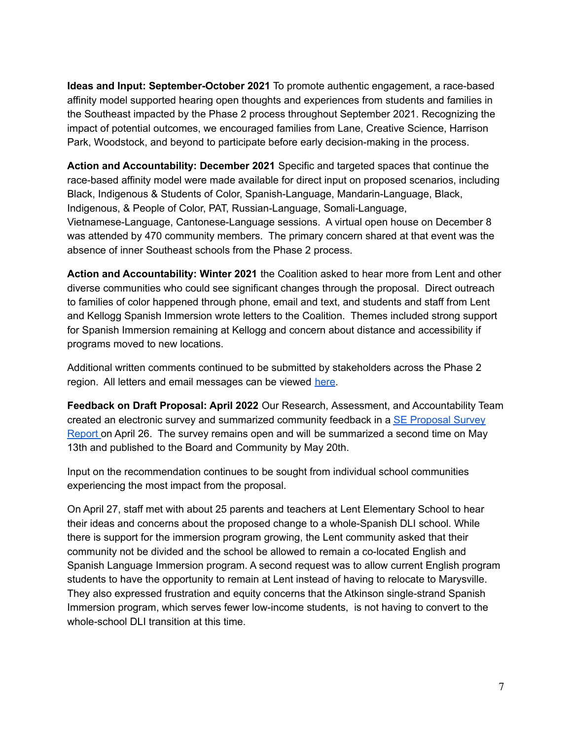**Ideas and Input: September-October 2021** To promote authentic engagement, a race-based affinity model supported hearing open thoughts and experiences from students and families in the Southeast impacted by the Phase 2 process throughout September 2021. Recognizing the impact of potential outcomes, we encouraged families from Lane, Creative Science, Harrison Park, Woodstock, and beyond to participate before early decision-making in the process.

**Action and Accountability: December 2021** Specific and targeted spaces that continue the race-based affinity model were made available for direct input on proposed scenarios, including Black, Indigenous & Students of Color, Spanish-Language, Mandarin-Language, Black, Indigenous, & People of Color, PAT, Russian-Language, Somali-Language, Vietnamese-Language, Cantonese-Language sessions. A virtual open house on December 8 was attended by 470 community members. The primary concern shared at that event was the absence of inner Southeast schools from the Phase 2 process.

**Action and Accountability: Winter 2021** the Coalition asked to hear more from Lent and other diverse communities who could see significant changes through the proposal. Direct outreach to families of color happened through phone, email and text, and students and staff from Lent and Kellogg Spanish Immersion wrote letters to the Coalition. Themes included strong support for Spanish Immersion remaining at Kellogg and concern about distance and accessibility if programs moved to new locations.

Additional written comments continued to be submitted by stakeholders across the Phase 2 region. All letters and email messages can be viewed [here](https://drive.google.com/drive/folders/1sOX5XqOWP6TCyia59cEClVkA9EfW_CDR?usp=sharing).

**Feedback on Draft Proposal: April 2022** Our Research, Assessment, and Accountability Team created an electronic survey and summarized community feedback in a SE [Proposal](https://docs.google.com/document/d/1Q--fR6TeG3-rPxe6y8aIA8XV8sYX2pzN/edit) Survey [Report](https://docs.google.com/document/d/1Q--fR6TeG3-rPxe6y8aIA8XV8sYX2pzN/edit) on April 26. The survey remains open and will be summarized a second time on May 13th and published to the Board and Community by May 20th.

Input on the recommendation continues to be sought from individual school communities experiencing the most impact from the proposal.

On April 27, staff met with about 25 parents and teachers at Lent Elementary School to hear their ideas and concerns about the proposed change to a whole-Spanish DLI school. While there is support for the immersion program growing, the Lent community asked that their community not be divided and the school be allowed to remain a co-located English and Spanish Language Immersion program. A second request was to allow current English program students to have the opportunity to remain at Lent instead of having to relocate to Marysville. They also expressed frustration and equity concerns that the Atkinson single-strand Spanish Immersion program, which serves fewer low-income students, is not having to convert to the whole-school DLI transition at this time.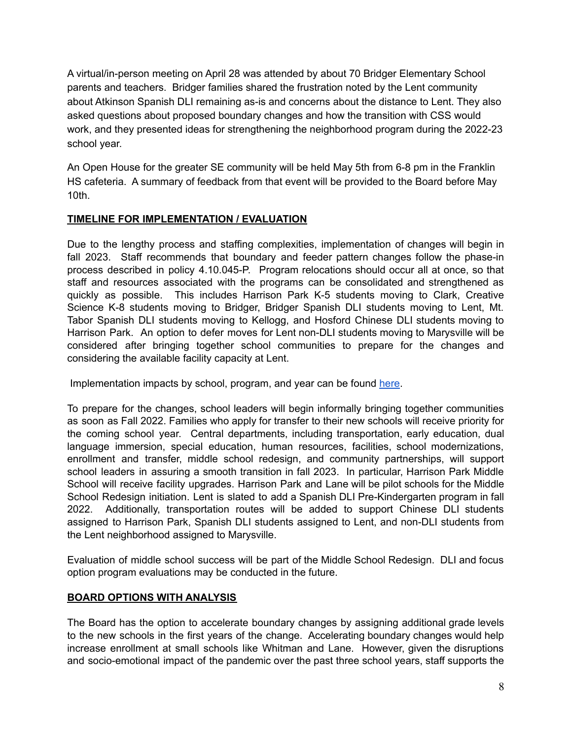A virtual/in-person meeting on April 28 was attended by about 70 Bridger Elementary School parents and teachers. Bridger families shared the frustration noted by the Lent community about Atkinson Spanish DLI remaining as-is and concerns about the distance to Lent. They also asked questions about proposed boundary changes and how the transition with CSS would work, and they presented ideas for strengthening the neighborhood program during the 2022-23 school year.

An Open House for the greater SE community will be held May 5th from 6-8 pm in the Franklin HS cafeteria. A summary of feedback from that event will be provided to the Board before May 10th.

# **TIMELINE FOR IMPLEMENTATION / EVALUATION**

Due to the lengthy process and staffing complexities, implementation of changes will begin in fall 2023. Staff recommends that boundary and feeder pattern changes follow the phase-in process described in policy 4.10.045-P. Program relocations should occur all at once, so that staff and resources associated with the programs can be consolidated and strengthened as quickly as possible. This includes Harrison Park K-5 students moving to Clark, Creative Science K-8 students moving to Bridger, Bridger Spanish DLI students moving to Lent, Mt. Tabor Spanish DLI students moving to Kellogg, and Hosford Chinese DLI students moving to Harrison Park. An option to defer moves for Lent non-DLI students moving to Marysville will be considered after bringing together school communities to prepare for the changes and considering the available facility capacity at Lent.

Implementation impacts by school, program, and year can be found [here](https://docs.google.com/document/d/10VWJ69lnV7FUrHbOzH6dAfcb4q9vSKOnp67z8DcAXRU/edit?usp=sharing).

To prepare for the changes, school leaders will begin informally bringing together communities as soon as Fall 2022. Families who apply for transfer to their new schools will receive priority for the coming school year. Central departments, including transportation, early education, dual language immersion, special education, human resources, facilities, school modernizations, enrollment and transfer, middle school redesign, and community partnerships, will support school leaders in assuring a smooth transition in fall 2023. In particular, Harrison Park Middle School will receive facility upgrades. Harrison Park and Lane will be pilot schools for the Middle School Redesign initiation. Lent is slated to add a Spanish DLI Pre-Kindergarten program in fall 2022. Additionally, transportation routes will be added to support Chinese DLI students assigned to Harrison Park, Spanish DLI students assigned to Lent, and non-DLI students from the Lent neighborhood assigned to Marysville.

Evaluation of middle school success will be part of the Middle School Redesign. DLI and focus option program evaluations may be conducted in the future.

#### **BOARD OPTIONS WITH ANALYSIS**

The Board has the option to accelerate boundary changes by assigning additional grade levels to the new schools in the first years of the change. Accelerating boundary changes would help increase enrollment at small schools like Whitman and Lane. However, given the disruptions and socio-emotional impact of the pandemic over the past three school years, staff supports the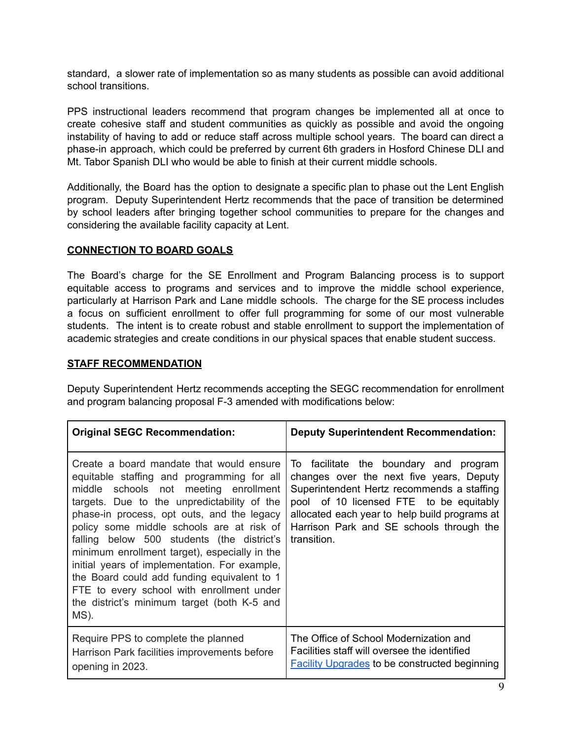standard, a slower rate of implementation so as many students as possible can avoid additional school transitions.

PPS instructional leaders recommend that program changes be implemented all at once to create cohesive staff and student communities as quickly as possible and avoid the ongoing instability of having to add or reduce staff across multiple school years. The board can direct a phase-in approach, which could be preferred by current 6th graders in Hosford Chinese DLI and Mt. Tabor Spanish DLI who would be able to finish at their current middle schools.

Additionally, the Board has the option to designate a specific plan to phase out the Lent English program. Deputy Superintendent Hertz recommends that the pace of transition be determined by school leaders after bringing together school communities to prepare for the changes and considering the available facility capacity at Lent.

#### **CONNECTION TO BOARD GOALS**

The Board's charge for the SE Enrollment and Program Balancing process is to support equitable access to programs and services and to improve the middle school experience, particularly at Harrison Park and Lane middle schools. The charge for the SE process includes a focus on sufficient enrollment to offer full programming for some of our most vulnerable students. The intent is to create robust and stable enrollment to support the implementation of academic strategies and create conditions in our physical spaces that enable student success.

#### **STAFF RECOMMENDATION**

Deputy Superintendent Hertz recommends accepting the SEGC recommendation for enrollment and program balancing proposal F-3 amended with modifications below:

| <b>Original SEGC Recommendation:</b>                                                                                                                                                                                                                                                                                                                                                                                                                                                                                                                                         | <b>Deputy Superintendent Recommendation:</b>                                                                                                                                                                                                                                            |
|------------------------------------------------------------------------------------------------------------------------------------------------------------------------------------------------------------------------------------------------------------------------------------------------------------------------------------------------------------------------------------------------------------------------------------------------------------------------------------------------------------------------------------------------------------------------------|-----------------------------------------------------------------------------------------------------------------------------------------------------------------------------------------------------------------------------------------------------------------------------------------|
| Create a board mandate that would ensure<br>equitable staffing and programming for all<br>middle schools not meeting enrollment<br>targets. Due to the unpredictability of the<br>phase-in process, opt outs, and the legacy<br>policy some middle schools are at risk of<br>falling below 500 students (the district's<br>minimum enrollment target), especially in the<br>initial years of implementation. For example,<br>the Board could add funding equivalent to 1<br>FTE to every school with enrollment under<br>the district's minimum target (both K-5 and<br>MS). | To facilitate the boundary and program<br>changes over the next five years, Deputy<br>Superintendent Hertz recommends a staffing<br>pool of 10 licensed FTE to be equitably<br>allocated each year to help build programs at<br>Harrison Park and SE schools through the<br>transition. |
| Require PPS to complete the planned<br>Harrison Park facilities improvements before<br>opening in 2023.                                                                                                                                                                                                                                                                                                                                                                                                                                                                      | The Office of School Modernization and<br>Facilities staff will oversee the identified<br><b>Facility Upgrades to be constructed beginning</b>                                                                                                                                          |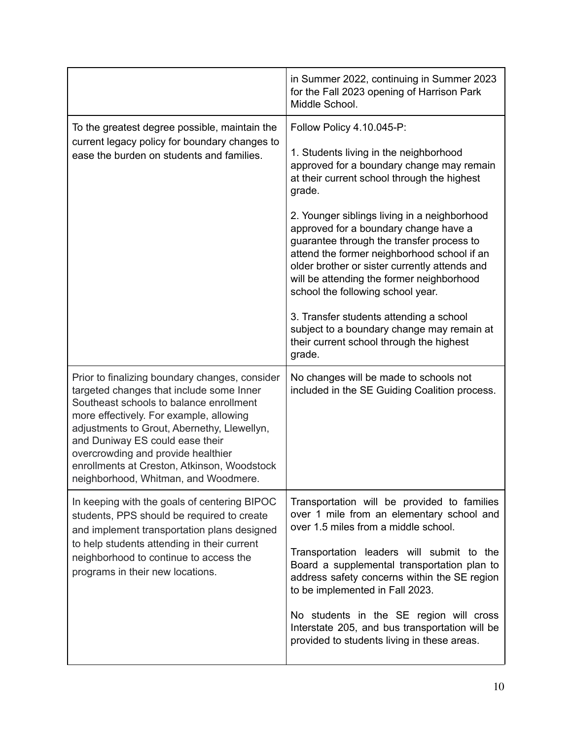|                                                                                                                                                                                                                                                                                                                                                                                                 | in Summer 2022, continuing in Summer 2023<br>for the Fall 2023 opening of Harrison Park<br>Middle School.                                                                                                                                                                                                                                                                                                                                                                                                                                                                                                                              |
|-------------------------------------------------------------------------------------------------------------------------------------------------------------------------------------------------------------------------------------------------------------------------------------------------------------------------------------------------------------------------------------------------|----------------------------------------------------------------------------------------------------------------------------------------------------------------------------------------------------------------------------------------------------------------------------------------------------------------------------------------------------------------------------------------------------------------------------------------------------------------------------------------------------------------------------------------------------------------------------------------------------------------------------------------|
| To the greatest degree possible, maintain the<br>current legacy policy for boundary changes to<br>ease the burden on students and families.                                                                                                                                                                                                                                                     | Follow Policy 4.10.045-P:<br>1. Students living in the neighborhood<br>approved for a boundary change may remain<br>at their current school through the highest<br>grade.<br>2. Younger siblings living in a neighborhood<br>approved for a boundary change have a<br>guarantee through the transfer process to<br>attend the former neighborhood school if an<br>older brother or sister currently attends and<br>will be attending the former neighborhood<br>school the following school year.<br>3. Transfer students attending a school<br>subject to a boundary change may remain at<br>their current school through the highest |
| Prior to finalizing boundary changes, consider<br>targeted changes that include some Inner<br>Southeast schools to balance enrollment<br>more effectively. For example, allowing<br>adjustments to Grout, Abernethy, Llewellyn,<br>and Duniway ES could ease their<br>overcrowding and provide healthier<br>enrollments at Creston, Atkinson, Woodstock<br>neighborhood, Whitman, and Woodmere. | grade.<br>No changes will be made to schools not<br>included in the SE Guiding Coalition process.                                                                                                                                                                                                                                                                                                                                                                                                                                                                                                                                      |
| In keeping with the goals of centering BIPOC<br>students, PPS should be required to create<br>and implement transportation plans designed<br>to help students attending in their current<br>neighborhood to continue to access the<br>programs in their new locations.                                                                                                                          | Transportation will be provided to families<br>over 1 mile from an elementary school and<br>over 1.5 miles from a middle school.<br>Transportation leaders will submit to the<br>Board a supplemental transportation plan to<br>address safety concerns within the SE region<br>to be implemented in Fall 2023.<br>No students in the SE region will cross<br>Interstate 205, and bus transportation will be<br>provided to students living in these areas.                                                                                                                                                                            |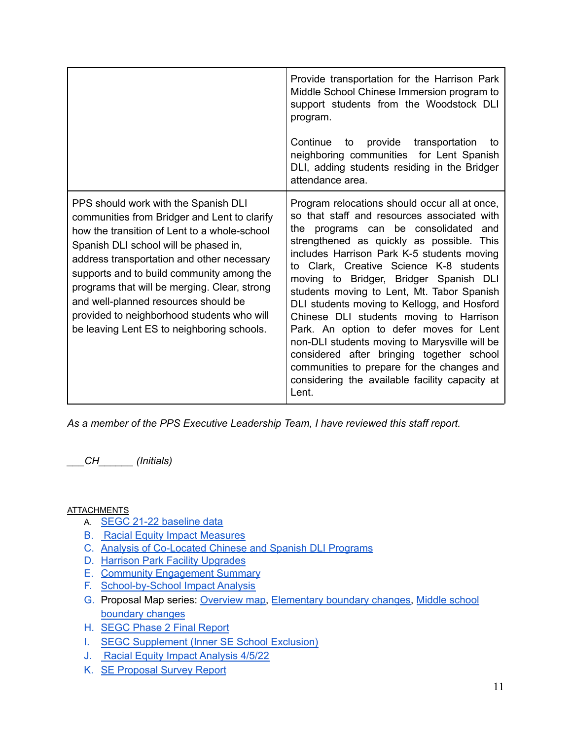|                                                                                                                                                                                                                                                                                                                                                                                                                                                              | Provide transportation for the Harrison Park<br>Middle School Chinese Immersion program to<br>support students from the Woodstock DLI<br>program.<br>Continue to provide transportation<br>to.<br>neighboring communities for Lent Spanish<br>DLI, adding students residing in the Bridger<br>attendance area.                                                                                                                                                                                                                                                                                                                                                                                                 |
|--------------------------------------------------------------------------------------------------------------------------------------------------------------------------------------------------------------------------------------------------------------------------------------------------------------------------------------------------------------------------------------------------------------------------------------------------------------|----------------------------------------------------------------------------------------------------------------------------------------------------------------------------------------------------------------------------------------------------------------------------------------------------------------------------------------------------------------------------------------------------------------------------------------------------------------------------------------------------------------------------------------------------------------------------------------------------------------------------------------------------------------------------------------------------------------|
| PPS should work with the Spanish DLI<br>communities from Bridger and Lent to clarify<br>how the transition of Lent to a whole-school<br>Spanish DLI school will be phased in,<br>address transportation and other necessary<br>supports and to build community among the<br>programs that will be merging. Clear, strong<br>and well-planned resources should be<br>provided to neighborhood students who will<br>be leaving Lent ES to neighboring schools. | Program relocations should occur all at once,<br>so that staff and resources associated with<br>the programs can be consolidated and<br>strengthened as quickly as possible. This<br>includes Harrison Park K-5 students moving<br>to Clark, Creative Science K-8 students<br>moving to Bridger, Bridger Spanish DLI<br>students moving to Lent, Mt. Tabor Spanish<br>DLI students moving to Kellogg, and Hosford<br>Chinese DLI students moving to Harrison<br>Park. An option to defer moves for Lent<br>non-DLI students moving to Marysville will be<br>considered after bringing together school<br>communities to prepare for the changes and<br>considering the available facility capacity at<br>Lent. |

*As a member of the PPS Executive Leadership Team, I have reviewed this staff report.*

*\_\_\_CH\_\_\_\_\_\_ (Initials)*

**ATTACHMENTS** 

- A. SEGC 21-22 [baseline](https://docs.google.com/spreadsheets/d/1Zc0TVBx5NnLEezWbH9jof7LOIBJADzDt/edit?usp=sharing&ouid=115246596219243476626&rtpof=true&sd=true) data
- B. Racial Equity Impact [Measures](https://drive.google.com/file/d/1vRr-Bj-KuILx7mFSqJHnCQ3rxO76Nkwu/view?usp=sharing)
- C. Analysis of [Co-Located](https://docs.google.com/presentation/d/1bezrHk7UkPsXlsV-r-ezcQCdUV62sRvI/edit#slide=id.p2) Chinese and Spanish DLI Programs
- D. Harrison Park Facility [Upgrades](https://www.pps.net/cms/lib/OR01913224/Centricity/Domain/265/HarrisonPark-Facility-preparation-English.pdf)
- E. Community [Engagement](https://docs.google.com/document/d/1MqCegXAEeHgLeujjTd6NVXBlHbFZOc4aB8w3CzqWHT8/edit) Summary
- F. [School-by-School](https://drive.google.com/file/d/1t-KMrb7pfD0ZMFk_0U9c2l8dh7-EqG06/view?usp=sharing) Impact Analysis
- G. Proposal Map series: [Overview](https://drive.google.com/file/d/1655zTtk79eFjyXQYi7DMHn6mZvTZsxK4/view?usp=sharing) map, [Elementary](https://drive.google.com/file/d/1Ao9ke1F5_ocXktuCQRx5usHx_JUiFKki/view?usp=sharing) boundary changes, [Middle](https://drive.google.com/file/d/1Un-j9lof0KRHGjPNmKCIyVekxCXeRFu9/view?usp=sharing) school [boundary](https://drive.google.com/file/d/1Un-j9lof0KRHGjPNmKCIyVekxCXeRFu9/view?usp=sharing) changes
- H. SEGC Phase 2 Final [Report](https://docs.google.com/document/d/1MT-GuSr-0vFroMhtm9J42sBAtQtSLq31Bq4PXgIuIJk/edit#)
- I. SEGC [Supplement](https://docs.google.com/document/d/1Q3R7gUdHrym3RtWI8Vay_qcilN0zGZzWHfIpUrdZ24k/edit) (Inner SE School Exclusion)
- J. Racial Equity Impact [Analysis](https://docs.google.com/presentation/d/1YSSero6_SdMU_JaW35dhB5QMSHZCFsAmxh_s5kMCfHI/edit#slide=id.g11db8b3ccd0_0_364) 4/5/22
- K. SE [Proposal](https://docs.google.com/document/d/1Q--fR6TeG3-rPxe6y8aIA8XV8sYX2pzN/edit) Survey Report